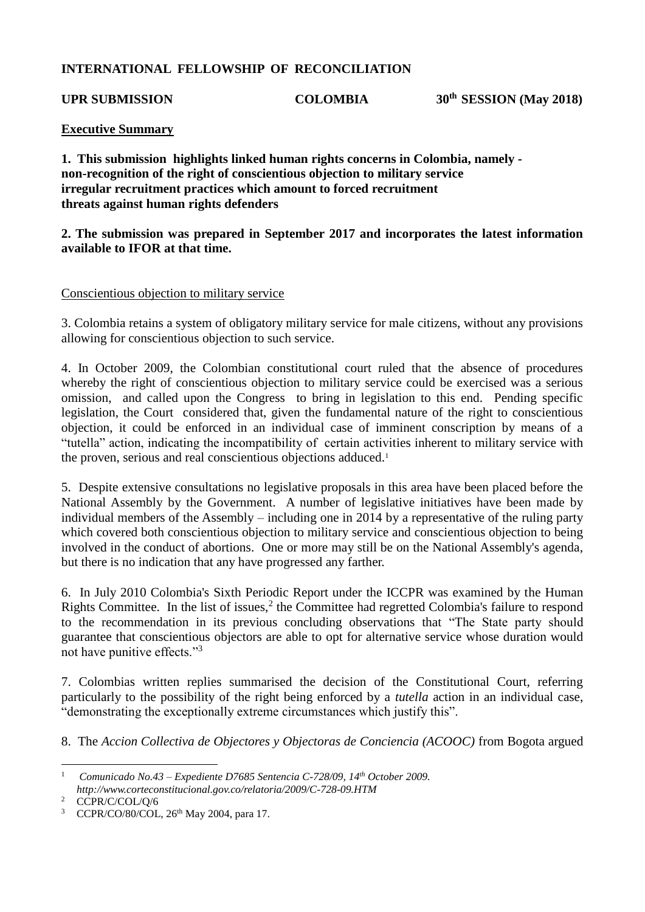# **INTERNATIONAL FELLOWSHIP OF RECONCILIATION**

UPR SUBMISSION COLOMBIA 30<sup>th</sup> SESSION (May 2018)

### **Executive Summary**

**1. This submission highlights linked human rights concerns in Colombia, namely non-recognition of the right of conscientious objection to military service irregular recruitment practices which amount to forced recruitment threats against human rights defenders**

## **2. The submission was prepared in September 2017 and incorporates the latest information available to IFOR at that time.**

#### Conscientious objection to military service

3. Colombia retains a system of obligatory military service for male citizens, without any provisions allowing for conscientious objection to such service.

4. In October 2009, the Colombian constitutional court ruled that the absence of procedures whereby the right of conscientious objection to military service could be exercised was a serious omission, and called upon the Congress to bring in legislation to this end. Pending specific legislation, the Court considered that, given the fundamental nature of the right to conscientious objection, it could be enforced in an individual case of imminent conscription by means of a "tutella" action, indicating the incompatibility of certain activities inherent to military service with the proven, serious and real conscientious objections adduced.<sup>1</sup>

5. Despite extensive consultations no legislative proposals in this area have been placed before the National Assembly by the Government. A number of legislative initiatives have been made by individual members of the Assembly – including one in 2014 by a representative of the ruling party which covered both conscientious objection to military service and conscientious objection to being involved in the conduct of abortions. One or more may still be on the National Assembly's agenda, but there is no indication that any have progressed any farther.

6. In July 2010 Colombia's Sixth Periodic Report under the ICCPR was examined by the Human Rights Committee. In the list of issues, $<sup>2</sup>$  the Committee had regretted Colombia's failure to respond</sup> to the recommendation in its previous concluding observations that "The State party should guarantee that conscientious objectors are able to opt for alternative service whose duration would not have punitive effects."<sup>3</sup>

7. Colombias written replies summarised the decision of the Constitutional Court, referring particularly to the possibility of the right being enforced by a *tutella* action in an individual case, "demonstrating the exceptionally extreme circumstances which justify this".

8. The *Accion Collectiva de Objectores y Objectoras de Conciencia (ACOOC)* from Bogota argued

<sup>&</sup>lt;u>.</u> <sup>1</sup> *Comunicado No.43 – Expediente D7685 Sentencia C-728/09, 14th October 2009. http://www.corteconstitucional.gov.co/relatoria/2009/C-728-09.HTM*

<sup>&</sup>lt;sup>2</sup> CCPR/C/COL/Q/6

<sup>&</sup>lt;sup>3</sup> CCPR/CO/80/COL, 26<sup>th</sup> May 2004, para 17.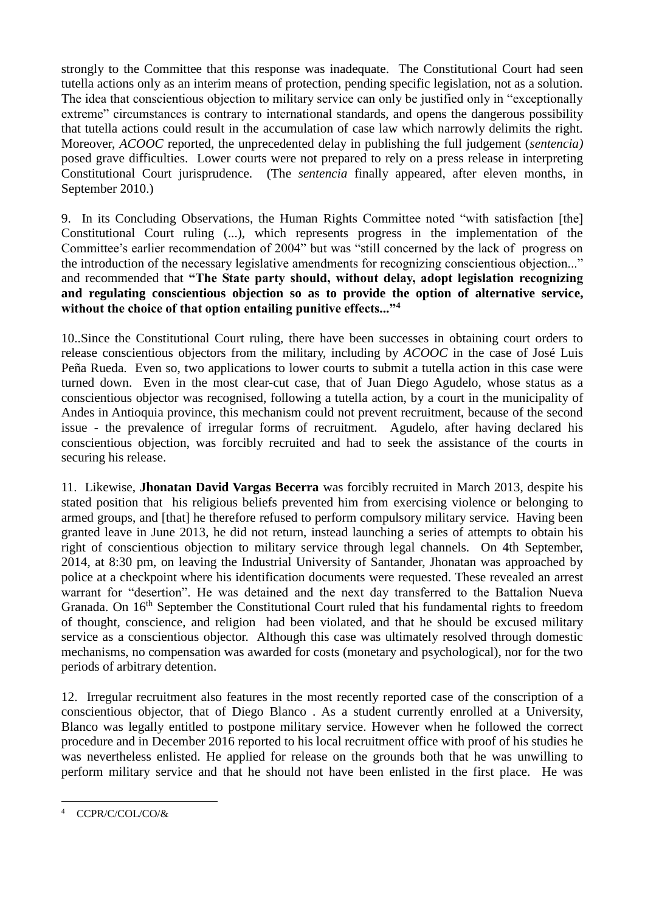strongly to the Committee that this response was inadequate. The Constitutional Court had seen tutella actions only as an interim means of protection, pending specific legislation, not as a solution. The idea that conscientious objection to military service can only be justified only in "exceptionally extreme" circumstances is contrary to international standards, and opens the dangerous possibility that tutella actions could result in the accumulation of case law which narrowly delimits the right. Moreover, *ACOOC* reported, the unprecedented delay in publishing the full judgement (*sentencia)*  posed grave difficulties. Lower courts were not prepared to rely on a press release in interpreting Constitutional Court jurisprudence. (The *sentencia* finally appeared, after eleven months, in September 2010.)

9. In its Concluding Observations, the Human Rights Committee noted "with satisfaction [the] Constitutional Court ruling (...), which represents progress in the implementation of the Committee's earlier recommendation of 2004" but was "still concerned by the lack of progress on the introduction of the necessary legislative amendments for recognizing conscientious objection..." and recommended that **"The State party should, without delay, adopt legislation recognizing and regulating conscientious objection so as to provide the option of alternative service, without the choice of that option entailing punitive effects..."<sup>4</sup>**

10..Since the Constitutional Court ruling, there have been successes in obtaining court orders to release conscientious objectors from the military, including by *ACOOC* in the case of José Luis Peña Rueda. Even so, two applications to lower courts to submit a tutella action in this case were turned down. Even in the most clear-cut case, that of Juan Diego Agudelo, whose status as a conscientious objector was recognised, following a tutella action, by a court in the municipality of Andes in Antioquia province, this mechanism could not prevent recruitment, because of the second issue - the prevalence of irregular forms of recruitment. Agudelo, after having declared his conscientious objection, was forcibly recruited and had to seek the assistance of the courts in securing his release.

11. Likewise, **Jhonatan David Vargas Becerra** was forcibly recruited in March 2013, despite his stated position that his religious beliefs prevented him from exercising violence or belonging to armed groups, and [that] he therefore refused to perform compulsory military service. Having been granted leave in June 2013, he did not return, instead launching a series of attempts to obtain his right of conscientious objection to military service through legal channels. On 4th September, 2014, at 8:30 pm, on leaving the Industrial University of Santander, Jhonatan was approached by police at a checkpoint where his identification documents were requested. These revealed an arrest warrant for "desertion". He was detained and the next day transferred to the Battalion Nueva Granada. On 16<sup>th</sup> September the Constitutional Court ruled that his fundamental rights to freedom of thought, conscience, and religion had been violated, and that he should be excused military service as a conscientious objector. Although this case was ultimately resolved through domestic mechanisms, no compensation was awarded for costs (monetary and psychological), nor for the two periods of arbitrary detention.

12. Irregular recruitment also features in the most recently reported case of the conscription of a conscientious objector, that of Diego Blanco . As a student currently enrolled at a University, Blanco was legally entitled to postpone military service. However when he followed the correct procedure and in December 2016 reported to his local recruitment office with proof of his studies he was nevertheless enlisted. He applied for release on the grounds both that he was unwilling to perform military service and that he should not have been enlisted in the first place. He was

<sup>1</sup> CCPR/C/COL/CO/&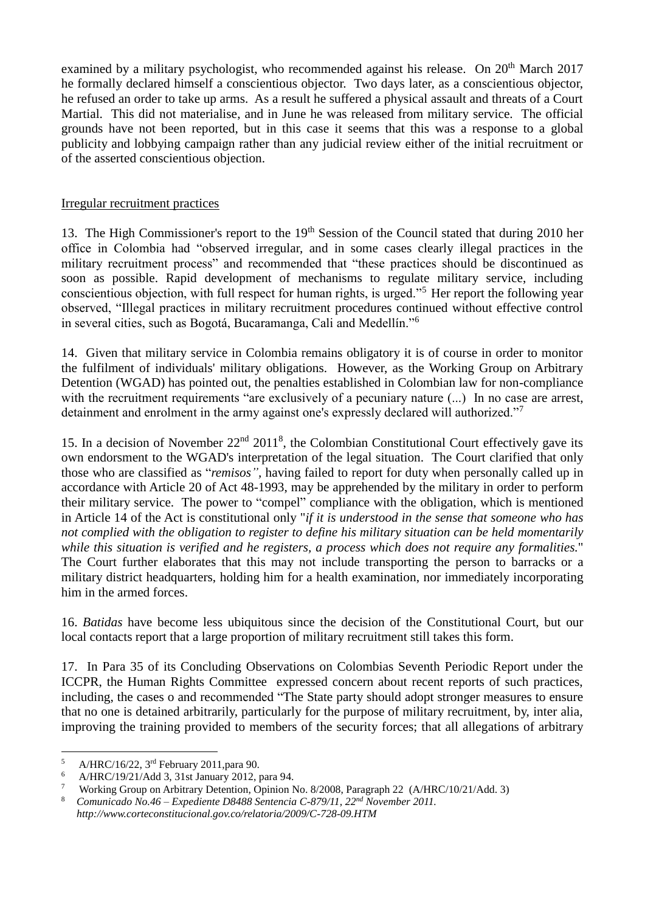examined by a military psychologist, who recommended against his release. On 20<sup>th</sup> March 2017 he formally declared himself a conscientious objector. Two days later, as a conscientious objector, he refused an order to take up arms. As a result he suffered a physical assault and threats of a Court Martial. This did not materialise, and in June he was released from military service. The official grounds have not been reported, but in this case it seems that this was a response to a global publicity and lobbying campaign rather than any judicial review either of the initial recruitment or of the asserted conscientious objection.

## Irregular recruitment practices

13. The High Commissioner's report to the 19<sup>th</sup> Session of the Council stated that during 2010 her office in Colombia had "observed irregular, and in some cases clearly illegal practices in the military recruitment process" and recommended that "these practices should be discontinued as soon as possible. Rapid development of mechanisms to regulate military service, including conscientious objection, with full respect for human rights, is urged."<sup>5</sup> Her report the following year observed, "Illegal practices in military recruitment procedures continued without effective control in several cities, such as Bogotá, Bucaramanga, Cali and Medellín."<sup>6</sup>

14. Given that military service in Colombia remains obligatory it is of course in order to monitor the fulfilment of individuals' military obligations. However, as the Working Group on Arbitrary Detention (WGAD) has pointed out, the penalties established in Colombian law for non-compliance with the recruitment requirements "are exclusively of a pecuniary nature  $(\dots)$  In no case are arrest, detainment and enrolment in the army against one's expressly declared will authorized."<sup>7</sup>

15. In a decision of November 22<sup>nd</sup> 2011<sup>8</sup>, the Colombian Constitutional Court effectively gave its own endorsment to the WGAD's interpretation of the legal situation. The Court clarified that only those who are classified as "*remisos",* having failed to report for duty when personally called up in accordance with Article 20 of Act 48-1993, may be apprehended by the military in order to perform their military service. The power to "compel" compliance with the obligation, which is mentioned in Article 14 of the Act is constitutional only "*if it is understood in the sense that someone who has not complied with the obligation to register to define his military situation can be held momentarily while this situation is verified and he registers, a process which does not require any formalities.*" The Court further elaborates that this may not include transporting the person to barracks or a military district headquarters, holding him for a health examination, nor immediately incorporating him in the armed forces.

16. *Batidas* have become less ubiquitous since the decision of the Constitutional Court, but our local contacts report that a large proportion of military recruitment still takes this form.

17. In Para 35 of its Concluding Observations on Colombias Seventh Periodic Report under the ICCPR, the Human Rights Committee expressed concern about recent reports of such practices, including, the cases o and recommended "The State party should adopt stronger measures to ensure that no one is detained arbitrarily, particularly for the purpose of military recruitment, by, inter alia, improving the training provided to members of the security forces; that all allegations of arbitrary

1

 $\frac{5}{6}$  A/HRC/16/22, 3<sup>rd</sup> February 2011, para 90.

<sup>6</sup> A/HRC/19/21/Add 3, 31st January 2012, para 94.

<sup>7</sup> Working Group on Arbitrary Detention, Opinion No. 8/2008, Paragraph 22 (A/HRC/10/21/Add. 3)

<sup>8</sup> *Comunicado No.46 – Expediente D8488 Sentencia C-879/11, 22nd November 2011. http://www.corteconstitucional.gov.co/relatoria/2009/C-728-09.HTM*